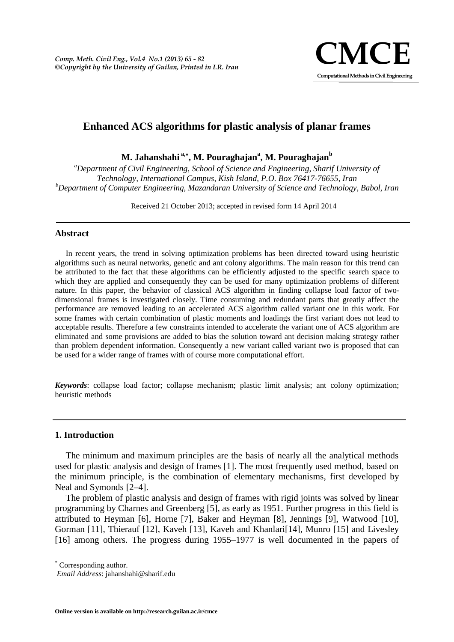

# **Enhanced ACS algorithms for plastic analysis of planar frames**

**M. Jahanshahi a,\* , M. Pouraghajan<sup>a</sup> , M. Pouraghajan<sup>b</sup>**

*<sup>a</sup>Department of Civil Engineering, School of Science and Engineering, Sharif University of Technology, International Campus, Kish Island, P.O. Box 76417-76655, Iran <sup>b</sup>Department of Computer Engineering, Mazandaran University of Science and Technology, Babol, Iran*

Received 21 October 2013; accepted in revised form 14 April 2014

## **Abstract**

In recent years, the trend in solving optimization problems has been directed toward using heuristic algorithms such as neural networks, genetic and ant colony algorithms. The main reason for this trend can be attributed to the fact that these algorithms can be efficiently adjusted to the specific search space to which they are applied and consequently they can be used for many optimization problems of different nature. In this paper, the behavior of classical ACS algorithm in finding collapse load factor of two dimensional frames is investigated closely. Time consuming and redundant parts that greatly affect the performance are removed leading to an accelerated ACS algorithm called variant one in this work. For some frames with certain combination of plastic moments and loadings the first variant does not lead to acceptable results. Therefore a few constraints intended to accelerate the variant one of ACS algorithm are eliminated and some provisions are added to bias the solution toward ant decision making strategy rather than problem dependent information. Consequently a new variant called variant two is proposed that can be used for a wider range of frames with of course more computational effort.

*Keywords*: collapse load factor; collapse mechanism; plastic limit analysis; ant colony optimization; heuristic methods

## **1. Introduction**

The minimum and maximum principles are the basis of nearly all the analytical methods used for plastic analysis and design of frames [1]. The most frequently used method, based on the minimum principle, is the combination of elementary mechanisms, first developed by Neal and Symonds [2–4].

The problem of plastic analysis and design of frames with rigid joints was solved by linear programming by Charnes and Greenberg [5], as early as 1951. Further progress in this field is attributed to Heyman [6], Horne [7], Baker and Heyman [8], Jennings [9], Watwood [10], Gorman [11], Thierauf [12], Kaveh [13], Kaveh and Khanlari[14], Munro [15] and Livesley [16] among others. The progress during 1955–1977 is well documented in the papers of

<sup>\*</sup> Corresponding author.

*Email Address*: jahanshahi@sharif.edu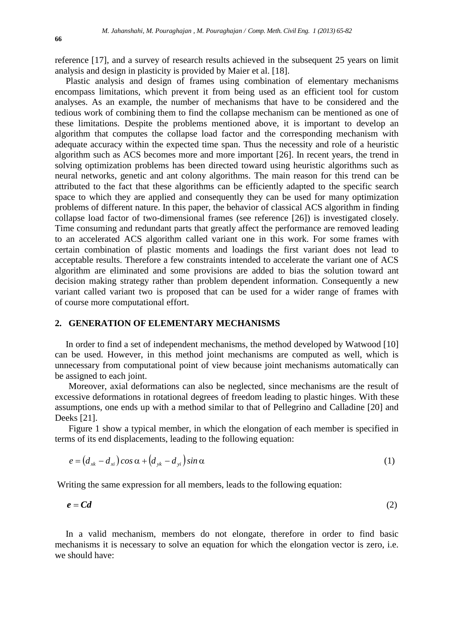reference [17], and a survey of research results achieved in the subsequent 25 years on limit analysis and design in plasticity is provided by Maier et al. [18].

Plastic analysis and design of frames using combination of elementary mechanisms encompass limitations, which prevent it from being used as an efficient tool for custom analyses. As an example, the number of mechanisms that have to be considered and the tedious work of combining them to find the collapse mechanism can be mentioned as one of these limitations. Despite the problems mentioned above, it is important to develop an algorithm that computes the collapse load factor and the corresponding mechanism with adequate accuracy within the expected time span. Thus the necessity and role of a heuristic algorithm such as ACS becomes more and more important [26]. In recent years, the trend in solving optimization problems has been directed toward using heuristic algorithms such as neural networks, genetic and ant colony algorithms. The main reason for this trend can be attributed to the fact that these algorithms can be efficiently adapted to the specific search space to which they are applied and consequently they can be used for many optimization problems of different nature. In this paper, the behavior of classical ACS algorithm in finding collapse load factor of two-dimensional frames (see reference [26]) is investigated closely. Time consuming and redundant parts that greatly affect the performance are removed leading to an accelerated ACS algorithm called variant one in this work. For some frames with certain combination of plastic moments and loadings the first variant does not lead to acceptable results. Therefore a few constraints intended to accelerate the variant one of ACS algorithm are eliminated and some provisions are added to bias the solution toward ant decision making strategy rather than problem dependent information. Consequently a new variant called variant two is proposed that can be used for a wider range of frames with of course more computational effort.

## **2. GENERATION OF ELEMENTARY MECHANISMS**

In order to find a set of independent mechanisms, the method developed by Watwood [10] can be used. However, in this method joint mechanisms are computed as well, which is unnecessary from computational point of view because joint mechanisms automatically can be assigned to each joint.

Moreover, axial deformations can also be neglected, since mechanisms are the result of excessive deformations in rotational degrees of freedom leading to plastic hinges. With these assumptions, one ends up with a method similar to that of Pellegrino and Calladine [20] and Deeks [21].

Figure 1 show a typical member, in which the elongation of each member is specified in terms of its end displacements, leading to the following equation:

$$
e = (d_{x} - d_{x}) \cos \alpha + (d_{y} - d_{y}) \sin \alpha \tag{1}
$$

Writing the same expression for all members, leads to the following equation:

$$
e = C d \tag{2}
$$

In a valid mechanism, members do not elongate, therefore in order to find basic mechanisms it is necessary to solve an equation for which the elongation vector is zero, i.e. we should have: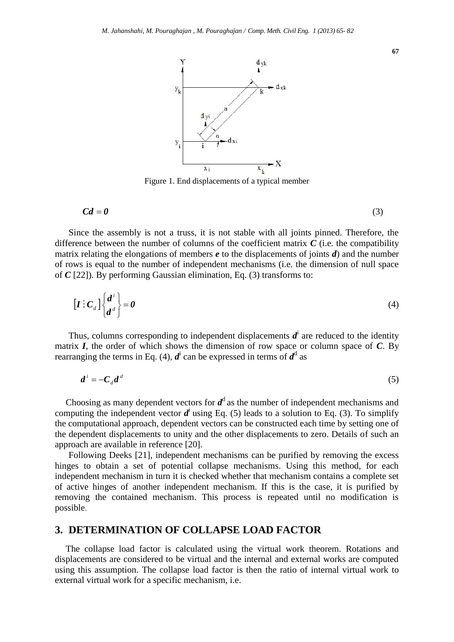

Figure 1. End displacements of a typical member

$$
Cd = 0 \tag{3}
$$

Since the assembly is not a truss, it is not stable with all joints pinned. Therefore, the difference between the number of columns of the coefficient matrix  $C$  (i.e. the compatibility matrix relating the elongations of members *e* to the displacements of joints *d*) and the number of rows is equal to the number of independent mechanisms (i.e. the dimension of null space of *C* [22]). By performing Gaussian elimination, Eq. (3) transforms to:

$$
\left[\boldsymbol{I}: \boldsymbol{C}_d\right] \begin{Bmatrix} \boldsymbol{d}^i \\ \boldsymbol{d}^d \end{Bmatrix} = \boldsymbol{0}
$$
 (4)

Thus, columns corresponding to independent displacements  $d^i$  are reduced to the identity matrix *I*, the order of which shows the dimension of row space or column space of *C*. By rearranging the terms in Eq. (4),  $d^i$  can be expressed in terms of  $d^d$  as

$$
\boldsymbol{d}^i = -\boldsymbol{C}_d \boldsymbol{d}^d \tag{5}
$$

Choosing as many dependent vectors for  $d^d$  as the number of independent mechanisms and computing the independent vector  $d^i$  using Eq. (5) leads to a solution to Eq. (3). To simplify the computational approach, dependent vectors can be constructed each time by setting one of the dependent displacements to unity and the other displacements to zero. Details of such an approach are available in reference [20].

Following Deeks [21], independent mechanisms can be purified by removing the excess hinges to obtain a set of potential collapse mechanisms. Using this method, for each independent mechanism in turn it is checked whether that mechanism contains a complete set of active hinges of another independent mechanism. If this is the case, it is purified by removing the contained mechanism. This process is repeated until no modification is possible.

## **3. DETERMINATION OF COLLAPSE LOAD FACTOR**

The collapse load factor is calculated using the virtual work theorem. Rotations and displacements are considered to be virtual and the internal and external works are computed using this assumption. The collapse load factor is then the ratio of internal virtual work to external virtual work for a specific mechanism, i.e.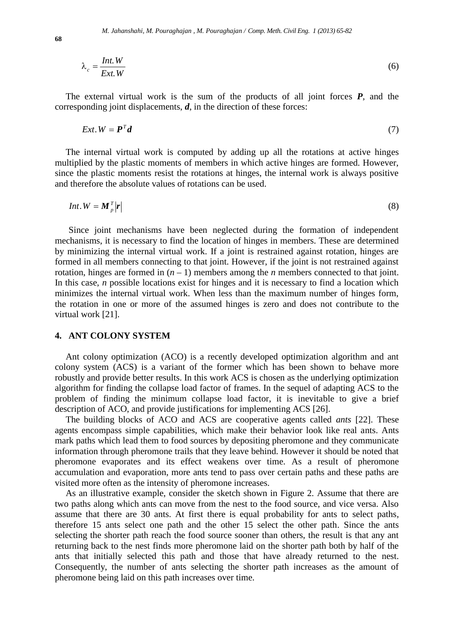$$
\lambda_c = \frac{Int. W}{Ext. W}
$$
\n(6)

The external virtual work is the sum of the products of all joint forces *P*, and the corresponding joint displacements, *d*, in the direction of these forces:

$$
Ext. W = \mathbf{P}^T \mathbf{d} \tag{7}
$$

The internal virtual work is computed by adding up all the rotations at active hinges multiplied by the plastic moments of members in which active hinges are formed. However, since the plastic moments resist the rotations at hinges, the internal work is always positive and therefore the absolute values of rotations can be used.

$$
Int. W = M_p^T |r| \tag{8}
$$

Since joint mechanisms have been neglected during the formation of independent mechanisms, it is necessary to find the location of hinges in members. These are determined by minimizing the internal virtual work. If a joint is restrained against rotation, hinges are formed in all members connecting to that joint. However, if the joint is not restrained against rotation, hinges are formed in  $(n - 1)$  members among the *n* members connected to that joint. In this case, *n* possible locations exist for hinges and it is necessary to find a location which minimizes the internal virtual work. When less than the maximum number of hinges form, the rotation in one or more of the assumed hinges is zero and does not contribute to the virtual work [21].

#### **4. ANT COLONY SYSTEM**

Ant colony optimization (ACO) is a recently developed optimization algorithm and ant colony system (ACS) is a variant of the former which has been shown to behave more robustly and provide better results. In this work ACS is chosen as the underlying optimization algorithm for finding the collapse load factor of frames. In the sequel of adapting ACS to the problem of finding the minimum collapse load factor, it is inevitable to give a brief description of ACO, and provide justifications for implementing ACS [26].

The building blocks of ACO and ACS are cooperative agents called *ants* [22]. These agents encompass simple capabilities, which make their behavior look like real ants. Ants mark paths which lead them to food sources by depositing pheromone and they communicate information through pheromone trails that they leave behind. However it should be noted that pheromone evaporates and its effect weakens over time. As a result of pheromone accumulation and evaporation, more ants tend to pass over certain paths and these paths are visited more often as the intensity of pheromone increases.

As an illustrative example, consider the sketch shown in Figure 2. Assume that there are two paths along which ants can move from the nest to the food source, and vice versa. Also assume that there are 30 ants. At first there is equal probability for ants to select paths, therefore 15 ants select one path and the other 15 select the other path. Since the ants selecting the shorter path reach the food source sooner than others, the result is that any ant returning back to the nest finds more pheromone laid on the shorter path both by half of the ants that initially selected this path and those that have already returned to the nest. Consequently, the number of ants selecting the shorter path increases as the amount of pheromone being laid on this path increases over time.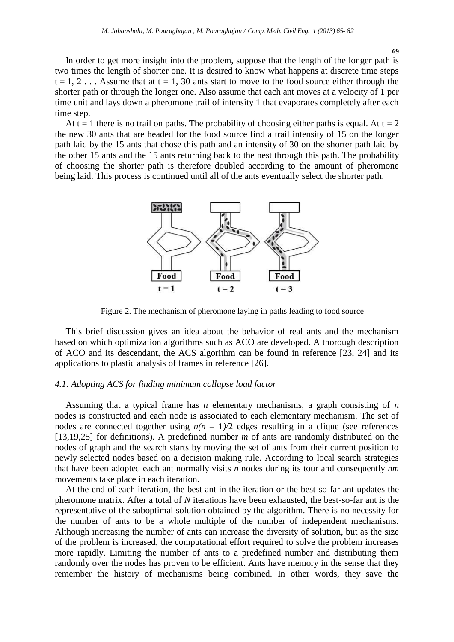In order to get more insight into the problem, suppose that the length of the longer path is two times the length of shorter one. It is desired to know what happens at discrete time steps  $t = 1, 2, \ldots$  Assume that at  $t = 1, 30$  ants start to move to the food source either through the shorter path or through the longer one. Also assume that each ant moves at a velocity of 1 per time unit and lays down a pheromone trail of intensity 1 that evaporates completely after each time step.

At  $t = 1$  there is no trail on paths. The probability of choosing either paths is equal. At  $t = 2$ the new 30 ants that are headed for the food source find a trail intensity of 15 on the longer path laid by the 15 ants that chose this path and an intensity of 30 on the shorter path laid by the other 15 ants and the 15 ants returning back to the nest through this path. The probability of choosing the shorter path is therefore doubled according to the amount of pheromone being laid. This process is continued until all of the ants eventually select the shorter path.



Figure 2. The mechanism of pheromone laying in paths leading to food source

This brief discussion gives an idea about the behavior of real ants and the mechanism based on which optimization algorithms such as ACO are developed. A thorough description of ACO and its descendant, the ACS algorithm can be found in reference [23, 24] and its applications to plastic analysis of frames in reference [26].

#### *4.1. Adopting ACS for finding minimum collapse load factor*

Assuming that a typical frame has *n* elementary mechanisms, a graph consisting of *n* nodes is constructed and each node is associated to each elementary mechanism. The set of nodes are connected together using  $n(n - 1)/2$  edges resulting in a clique (see references [13,19,25] for definitions). A predefined number *m* of ants are randomly distributed on the nodes of graph and the search starts by moving the set of ants from their current position to newly selected nodes based on a decision making rule. According to local search strategies that have been adopted each ant normally visits *n* nodes during its tour and consequently *nm* movements take place in each iteration.

At the end of each iteration, the best ant in the iteration or the best-so-far ant updates the pheromone matrix. After a total of *N* iterations have been exhausted, the best-so-far ant is the representative of the suboptimal solution obtained by the algorithm. There is no necessity for the number of ants to be a whole multiple of the number of independent mechanisms. Although increasing the number of ants can increase the diversity of solution, but as the size of the problem is increased, the computational effort required to solve the problem increases more rapidly. Limiting the number of ants to a predefined number and distributing them randomly over the nodes has proven to be efficient. Ants have memory in the sense that they remember the history of mechanisms being combined. In other words, they save the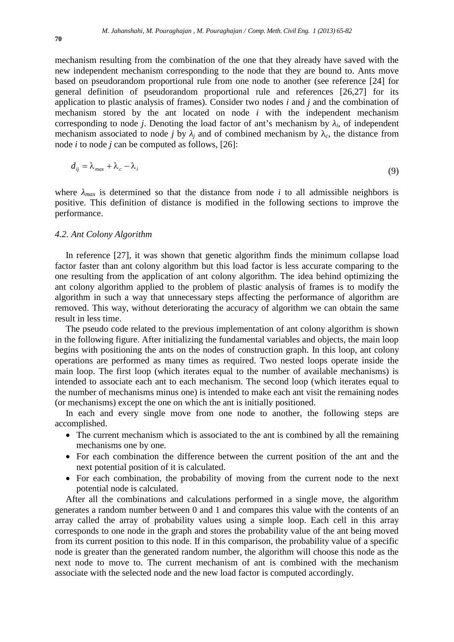mechanism resulting from the combination of the one that they already have saved with the new independent mechanism corresponding to the node that they are bound to. Ants move based on pseudorandom proportional rule from one node to another (see reference [24] for general definition of pseudorandom proportional rule and references [26,27] for its application to plastic analysis of frames). Consider two nodes *i* and *j* and the combination of mechanism stored by the ant located on node *i* with the independent mechanism corresponding to node *j*. Denoting the load factor of ant's mechanism by *<sup>i</sup>*, of independent mechanism associated to node *j* by *j* and of combined mechanism by  $\epsilon$ , the distance from node *i* to node *j* can be computed as follows, [26]:

$$
d_{ij} = \lambda_{max} + \lambda_c - \lambda_i \tag{9}
$$

where  $_{max}$  is determined so that the distance from node *i* to all admissible neighbors is positive. This definition of distance is modified in the following sections to improve the performance.

#### *4.2. Ant Colony Algorithm*

In reference [27], it was shown that genetic algorithm finds the minimum collapse load factor faster than ant colony algorithm but this load factor is less accurate comparing to the one resulting from the application of ant colony algorithm. The idea behind optimizing the ant colony algorithm applied to the problem of plastic analysis of frames is to modify the algorithm in such a way that unnecessary steps affecting the performance of algorithm are removed. This way, without deteriorating the accuracy of algorithm we can obtain the same result in less time.

The pseudo code related to the previous implementation of ant colony algorithm is shown in the following figure. After initializing the fundamental variables and objects, the main loop begins with positioning the ants on the nodes of construction graph. In this loop, ant colony operations are performed as many times as required. Two nested loops operate inside the main loop. The first loop (which iterates equal to the number of available mechanisms) is intended to associate each ant to each mechanism. The second loop (which iterates equal to the number of mechanisms minus one) is intended to make each ant visit the remaining nodes (or mechanisms) except the one on which the ant is initially positioned.

In each and every single move from one node to another, the following steps are accomplished.

- The current mechanism which is associated to the ant is combined by all the remaining mechanisms one by one.
- For each combination the difference between the current position of the ant and the next potential position of it is calculated.
- For each combination, the probability of moving from the current node to the next potential node is calculated.

After all the combinations and calculations performed in a single move, the algorithm generates a random number between 0 and 1 and compares this value with the contents of an array called the array of probability values using a simple loop. Each cell in this array corresponds to one node in the graph and stores the probability value of the ant being moved from its current position to this node. If in this comparison, the probability value of a specific node is greater than the generated random number, the algorithm will choose this node as the next node to move to. The current mechanism of ant is combined with the mechanism associate with the selected node and the new load factor is computed accordingly.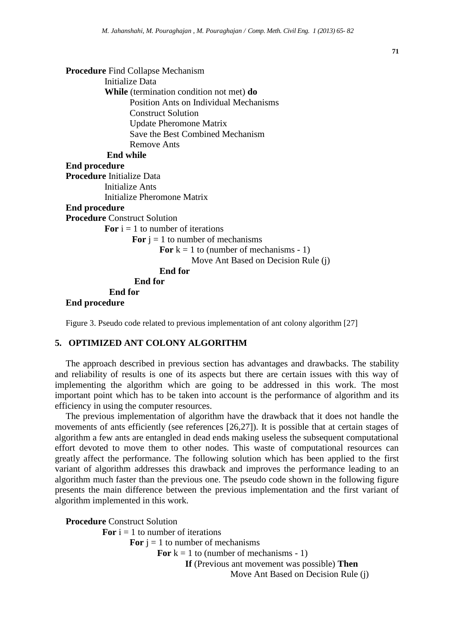

Figure 3. Pseudo code related to previous implementation of ant colony algorithm [27]

## **5. OPTIMIZED ANT COLONY ALGORITHM**

The approach described in previous section has advantages and drawbacks. The stability and reliability of results is one of its aspects but there are certain issues with this way of implementing the algorithm which are going to be addressed in this work. The most important point which has to be taken into account is the performance of algorithm and its efficiency in using the computer resources.

The previous implementation of algorithm have the drawback that it does not handle the movements of ants efficiently (see references [26,27]). It is possible that at certain stages of algorithm a few ants are entangled in dead ends making useless the subsequent computational effort devoted to move them to other nodes. This waste of computational resources can greatly affect the performance. The following solution which has been applied to the first variant of algorithm addresses this drawback and improves the performance leading to an algorithm much faster than the previous one. The pseudo code shown in the following figure presents the main difference between the previous implementation and the first variant of algorithm implemented in this work.

**Procedure** Construct Solution **For**  $i = 1$  to number of iterations **For**  $i = 1$  to number of mechanisms **For**  $k = 1$  to (number of mechanisms - 1) **If** (Previous ant movement was possible) **Then** Move Ant Based on Decision Rule (j)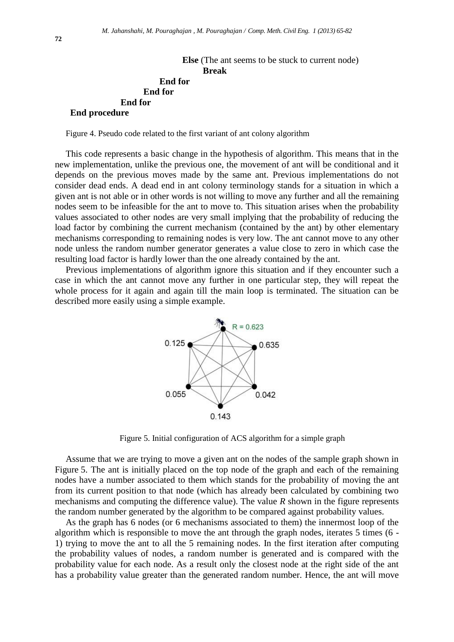**Else** (The ant seems to be stuck to current node) **Break End for End for End for End procedure**

Figure 4. Pseudo code related to the first variant of ant colony algorithm

This code represents a basic change in the hypothesis of algorithm. This means that in the new implementation, unlike the previous one, the movement of ant will be conditional and it depends on the previous moves made by the same ant. Previous implementations do not consider dead ends. A dead end in ant colony terminology stands for a situation in which a given ant is not able or in other words is not willing to move any further and all the remaining nodes seem to be infeasible for the ant to move to. This situation arises when the probability values associated to other nodes are very small implying that the probability of reducing the load factor by combining the current mechanism (contained by the ant) by other elementary mechanisms corresponding to remaining nodes is very low. The ant cannot move to any other node unless the random number generator generates a value close to zero in which case the resulting load factor is hardly lower than the one already contained by the ant.

Previous implementations of algorithm ignore this situation and if they encounter such a case in which the ant cannot move any further in one particular step, they will repeat the whole process for it again and again till the main loop is terminated. The situation can be described more easily using a simple example.



Figure 5. Initial configuration of ACS algorithm for a simple graph

Assume that we are trying to move a given ant on the nodes of the sample graph shown in Figure 5. The ant is initially placed on the top node of the graph and each of the remaining nodes have a number associated to them which stands for the probability of moving the ant from its current position to that node (which has already been calculated by combining two mechanisms and computing the difference value). The value *R* shown in the figure represents the random number generated by the algorithm to be compared against probability values.

As the graph has 6 nodes (or 6 mechanisms associated to them) the innermost loop of the algorithm which is responsible to move the ant through the graph nodes, iterates 5 times (6 - 1) trying to move the ant to all the 5 remaining nodes. In the first iteration after computing the probability values of nodes, a random number is generated and is compared with the probability value for each node. As a result only the closest node at the right side of the ant has a probability value greater than the generated random number. Hence, the ant will move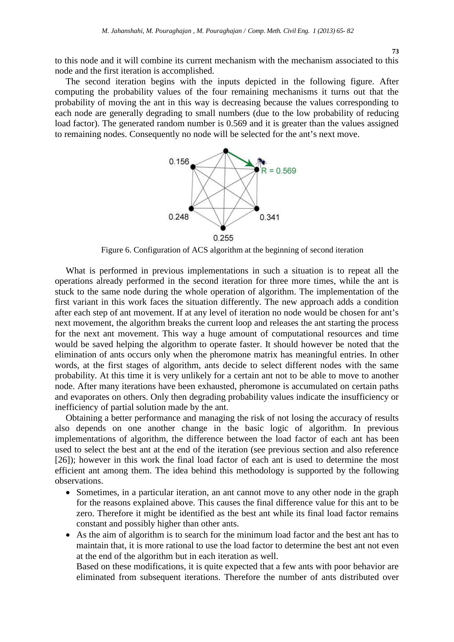to this node and it will combine its current mechanism with the mechanism associated to this node and the first iteration is accomplished.

The second iteration begins with the inputs depicted in the following figure. After computing the probability values of the four remaining mechanisms it turns out that the probability of moving the ant in this way is decreasing because the values corresponding to each node are generally degrading to small numbers (due to the low probability of reducing load factor). The generated random number is 0.569 and it is greater than the values assigned to remaining nodes. Consequently no node will be selected for the ant's next move.



Figure 6. Configuration of ACS algorithm at the beginning of second iteration

What is performed in previous implementations in such a situation is to repeat all the operations already performed in the second iteration for three more times, while the ant is stuck to the same node during the whole operation of algorithm. The implementation of the first variant in this work faces the situation differently. The new approach adds a condition after each step of ant movement. If at any level of iteration no node would be chosen for ant's next movement, the algorithm breaks the current loop and releases the ant starting the process for the next ant movement. This way a huge amount of computational resources and time would be saved helping the algorithm to operate faster. It should however be noted that the elimination of ants occurs only when the pheromone matrix has meaningful entries. In other words, at the first stages of algorithm, ants decide to select different nodes with the same probability. At this time it is very unlikely for a certain ant not to be able to move to another node. After many iterations have been exhausted, pheromone is accumulated on certain paths and evaporates on others. Only then degrading probability values indicate the insufficiency or inefficiency of partial solution made by the ant.

Obtaining a better performance and managing the risk of not losing the accuracy of results also depends on one another change in the basic logic of algorithm. In previous implementations of algorithm, the difference between the load factor of each ant has been used to select the best ant at the end of the iteration (see previous section and also reference [26]); however in this work the final load factor of each ant is used to determine the most efficient ant among them. The idea behind this methodology is supported by the following observations.

- Sometimes, in a particular iteration, an ant cannot move to any other node in the graph for the reasons explained above. This causes the final difference value for this ant to be zero. Therefore it might be identified as the best ant while its final load factor remains constant and possibly higher than other ants.
- As the aim of algorithm is to search for the minimum load factor and the best ant has to maintain that, it is more rational to use the load factor to determine the best ant not even at the end of the algorithm but in each iteration as well.

Based on these modifications, it is quite expected that a few ants with poor behavior are eliminated from subsequent iterations. Therefore the number of ants distributed over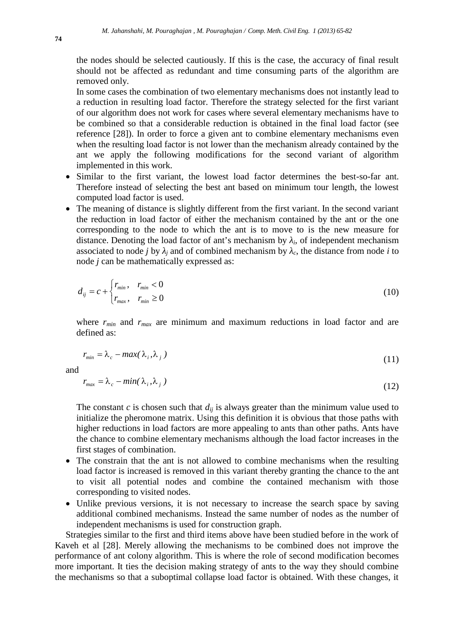the nodes should be selected cautiously. If this is the case, the accuracy of final result should not be affected as redundant and time consuming parts of the algorithm are removed only.

In some cases the combination of two elementary mechanisms does not instantly lead to a reduction in resulting load factor. Therefore the strategy selected for the first variant of our algorithm does not work for cases where several elementary mechanisms have to be combined so that a considerable reduction is obtained in the final load factor (see reference [28]). In order to force a given ant to combine elementary mechanisms even when the resulting load factor is not lower than the mechanism already contained by the ant we apply the following modifications for the second variant of algorithm implemented in this work.

- Similar to the first variant, the lowest load factor determines the best-so-far ant. Therefore instead of selecting the best ant based on minimum tour length, the lowest computed load factor is used.
- The meaning of distance is slightly different from the first variant. In the second variant the reduction in load factor of either the mechanism contained by the ant or the one corresponding to the node to which the ant is to move to is the new measure for distance. Denoting the load factor of ant's mechanism by *<sup>i</sup>*, of independent mechanism associated to node *j* by *j* and of combined mechanism by *c*, the distance from node *i* to node *j* can be mathematically expressed as:

$$
d_{ij} = c + \begin{cases} r_{min}, & r_{min} < 0 \\ r_{max}, & r_{min} \ge 0 \end{cases} \tag{10}
$$

where  $r_{min}$  and  $r_{max}$  are minimum and maximum reductions in load factor and are defined as:

$$
r_{\min} = \lambda_c - \max(\lambda_i, \lambda_j) \tag{11}
$$

and

$$
r_{\text{max}} = \lambda_c - \min(\lambda_i, \lambda_j) \tag{12}
$$

The constant *c* is chosen such that  $d_{ij}$  is always greater than the minimum value used to initialize the pheromone matrix. Using this definition it is obvious that those paths with higher reductions in load factors are more appealing to ants than other paths. Ants have the chance to combine elementary mechanisms although the load factor increases in the first stages of combination.

- The constrain that the ant is not allowed to combine mechanisms when the resulting load factor is increased is removed in this variant thereby granting the chance to the ant to visit all potential nodes and combine the contained mechanism with those corresponding to visited nodes.
- Unlike previous versions, it is not necessary to increase the search space by saving additional combined mechanisms. Instead the same number of nodes as the number of independent mechanisms is used for construction graph.

Strategies similar to the first and third items above have been studied before in the work of Kaveh et al [28]. Merely allowing the mechanisms to be combined does not improve the performance of ant colony algorithm. This is where the role of second modification becomes more important. It ties the decision making strategy of ants to the way they should combine the mechanisms so that a suboptimal collapse load factor is obtained. With these changes, it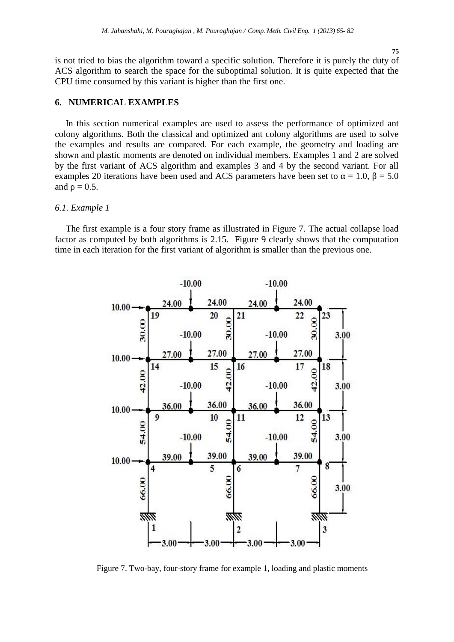**75**

is not tried to bias the algorithm toward a specific solution. Therefore it is purely the duty of ACS algorithm to search the space for the suboptimal solution. It is quite expected that the CPU time consumed by this variant is higher than the first one.

## **6. NUMERICAL EXAMPLES**

In this section numerical examples are used to assess the performance of optimized ant colony algorithms. Both the classical and optimized ant colony algorithms are used to solve the examples and results are compared. For each example, the geometry and loading are shown and plastic moments are denoted on individual members. Examples 1 and 2 are solved by the first variant of ACS algorithm and examples 3 and 4 by the second variant. For all examples 20 iterations have been used and ACS parameters have been set to  $= 1.0, = 5.0$ and  $= 0.5$ .

#### *6.1. Example 1*

The first example is a four story frame as illustrated in Figure 7. The actual collapse load factor as computed by both algorithms is 2.15. Figure 9 clearly shows that the computation time in each iteration for the first variant of algorithm is smaller than the previous one.



Figure 7. Two-bay, four-story frame for example 1, loading and plastic moments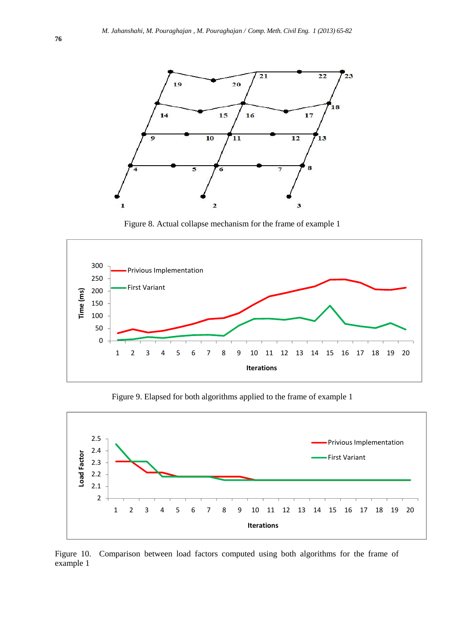

Figure 8. Actual collapse mechanism for the frame of example 1



Figure 9. Elapsed for both algorithms applied to the frame of example 1



Figure 10. Comparison between load factors computed using both algorithms for the frame of example 1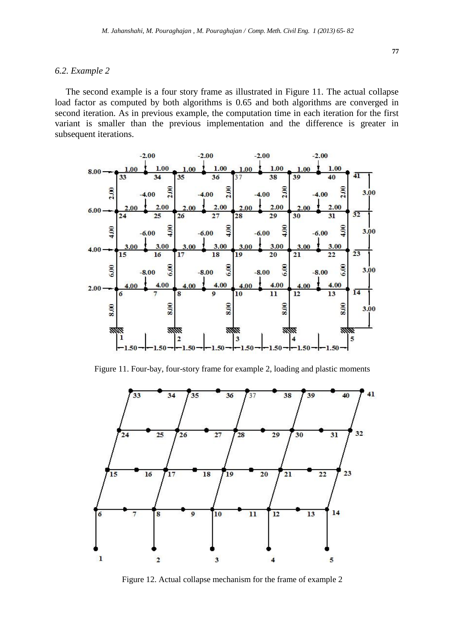#### *6.2. Example 2*

The second example is a four story frame as illustrated in Figure 11. The actual collapse load factor as computed by both algorithms is 0.65 and both algorithms are converged in second iteration. As in previous example, the computation time in each iteration for the first variant is smaller than the previous implementation and the difference is greater in subsequent iterations.

![](_page_12_Figure_3.jpeg)

Figure 11. Four-bay, four-story frame for example 2, loading and plastic moments

![](_page_12_Figure_5.jpeg)

Figure 12. Actual collapse mechanism for the frame of example 2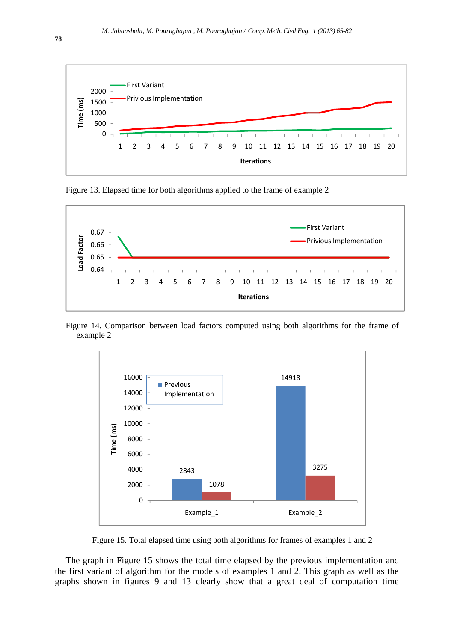![](_page_13_Figure_1.jpeg)

Figure 13. Elapsed time for both algorithms applied to the frame of example 2

![](_page_13_Figure_3.jpeg)

Figure 14. Comparison between load factors computed using both algorithms for the frame of example 2

![](_page_13_Figure_5.jpeg)

Figure 15. Total elapsed time using both algorithms for frames of examples 1 and 2

The graph in Figure 15 shows the total time elapsed by the previous implementation and the first variant of algorithm for the models of examples 1 and 2. This graph as well as the graphs shown in figures 9 and 13 clearly show that a great deal of computation time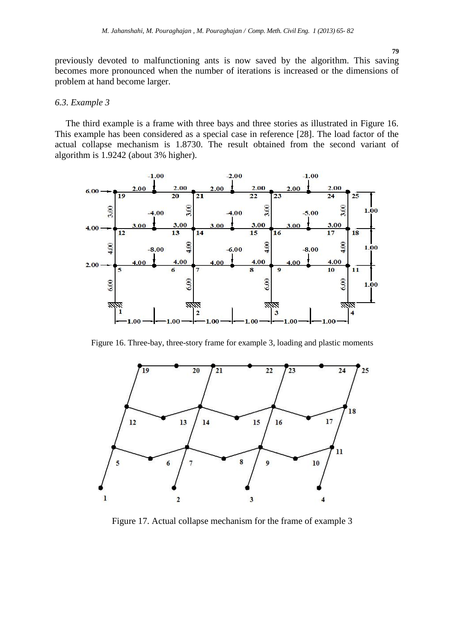previously devoted to malfunctioning ants is now saved by the algorithm. This saving becomes more pronounced when the number of iterations is increased or the dimensions of problem at hand become larger.

#### *6.3. Example 3*

The third example is a frame with three bays and three stories as illustrated in Figure 16. This example has been considered as a special case in reference [28]. The load factor of the actual collapse mechanism is 1.8730. The result obtained from the second variant of algorithm is 1.9242 (about 3% higher).

![](_page_14_Figure_4.jpeg)

Figure 16. Three-bay, three-story frame for example 3, loading and plastic moments

![](_page_14_Figure_6.jpeg)

Figure 17. Actual collapse mechanism for the frame of example 3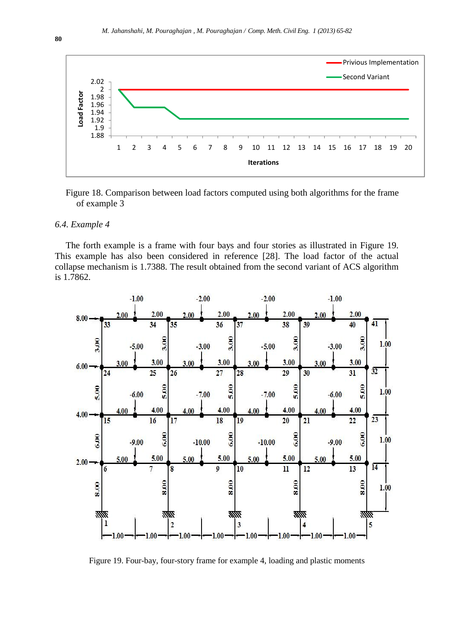![](_page_15_Figure_1.jpeg)

Figure 18. Comparison between load factors computed using both algorithms for the frame of example 3

#### *6.4. Example 4*

The forth example is a frame with four bays and four stories as illustrated in Figure 19. This example has also been considered in reference [28]. The load factor of the actual collapse mechanism is 1.7388. The result obtained from the second variant of ACS algorithm is 1.7862.

![](_page_15_Figure_5.jpeg)

Figure 19. Four-bay, four-story frame for example 4, loading and plastic moments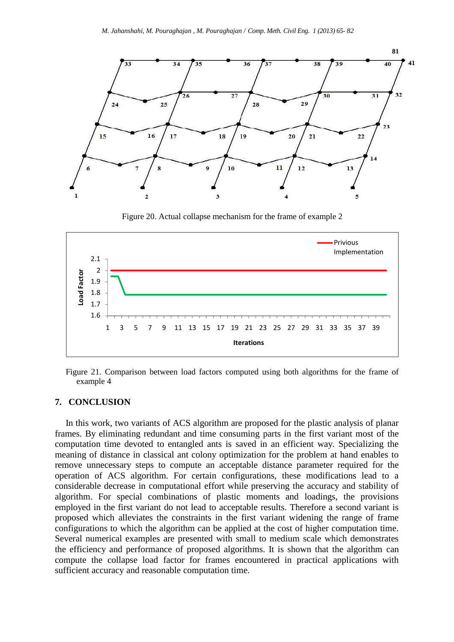![](_page_16_Figure_1.jpeg)

Figure 20. Actual collapse mechanism for the frame of example 2

![](_page_16_Figure_3.jpeg)

Figure 21. Comparison between load factors computed using both algorithms for the frame of example 4

## **7. CONCLUSION**

In this work, two variants of ACS algorithm are proposed for the plastic analysis of planar frames. By eliminating redundant and time consuming parts in the first variant most of the computation time devoted to entangled ants is saved in an efficient way. Specializing the meaning of distance in classical ant colony optimization for the problem at hand enables to remove unnecessary steps to compute an acceptable distance parameter required for the operation of ACS algorithm. For certain configurations, these modifications lead to a considerable decrease in computational effort while preserving the accuracy and stability of algorithm. For special combinations of plastic moments and loadings, the provisions employed in the first variant do not lead to acceptable results. Therefore a second variant is proposed which alleviates the constraints in the first variant widening the range of frame configurations to which the algorithm can be applied at the cost of higher computation time. Several numerical examples are presented with small to medium scale which demonstrates the efficiency and performance of proposed algorithms. It is shown that the algorithm can compute the collapse load factor for frames encountered in practical applications with sufficient accuracy and reasonable computation time.